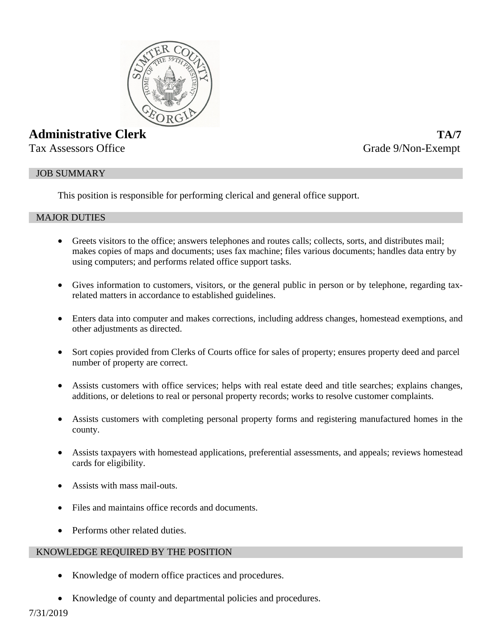

# **Administrative Clerk TA/7**

Tax Assessors Office Grade 9/Non-Exempt

## JOB SUMMARY

This position is responsible for performing clerical and general office support.

## MAJOR DUTIES

- Greets visitors to the office; answers telephones and routes calls; collects, sorts, and distributes mail; makes copies of maps and documents; uses fax machine; files various documents; handles data entry by using computers; and performs related office support tasks.
- Gives information to customers, visitors, or the general public in person or by telephone, regarding taxrelated matters in accordance to established guidelines.
- Enters data into computer and makes corrections, including address changes, homestead exemptions, and other adjustments as directed.
- Sort copies provided from Clerks of Courts office for sales of property; ensures property deed and parcel number of property are correct.
- Assists customers with office services; helps with real estate deed and title searches; explains changes, additions, or deletions to real or personal property records; works to resolve customer complaints.
- Assists customers with completing personal property forms and registering manufactured homes in the county.
- Assists taxpayers with homestead applications, preferential assessments, and appeals; reviews homestead cards for eligibility.
- Assists with mass mail-outs.
- Files and maintains office records and documents.
- Performs other related duties.

## KNOWLEDGE REQUIRED BY THE POSITION

- Knowledge of modern office practices and procedures.
- Knowledge of county and departmental policies and procedures.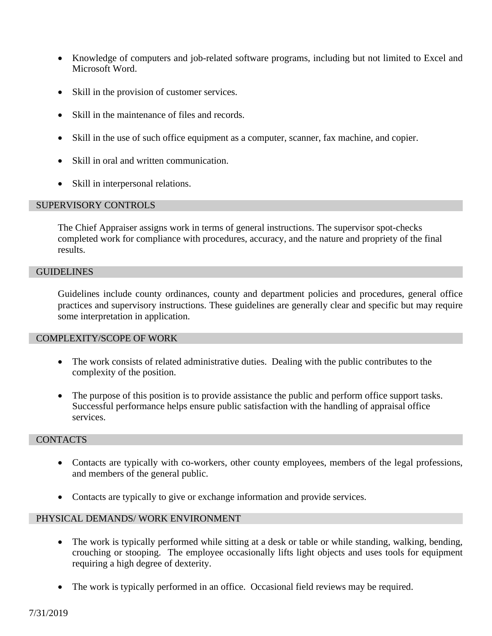- Knowledge of computers and job-related software programs, including but not limited to Excel and Microsoft Word.
- Skill in the provision of customer services.
- Skill in the maintenance of files and records.
- Skill in the use of such office equipment as a computer, scanner, fax machine, and copier.
- Skill in oral and written communication.
- Skill in interpersonal relations.

## SUPERVISORY CONTROLS

The Chief Appraiser assigns work in terms of general instructions. The supervisor spot-checks completed work for compliance with procedures, accuracy, and the nature and propriety of the final results.

#### **GUIDELINES**

Guidelines include county ordinances, county and department policies and procedures, general office practices and supervisory instructions. These guidelines are generally clear and specific but may require some interpretation in application.

#### COMPLEXITY/SCOPE OF WORK

- The work consists of related administrative duties. Dealing with the public contributes to the complexity of the position.
- The purpose of this position is to provide assistance the public and perform office support tasks. Successful performance helps ensure public satisfaction with the handling of appraisal office services.

# **CONTACTS**

- Contacts are typically with co-workers, other county employees, members of the legal professions, and members of the general public.
- Contacts are typically to give or exchange information and provide services.

#### PHYSICAL DEMANDS/ WORK ENVIRONMENT

- The work is typically performed while sitting at a desk or table or while standing, walking, bending, crouching or stooping. The employee occasionally lifts light objects and uses tools for equipment requiring a high degree of dexterity.
- The work is typically performed in an office. Occasional field reviews may be required.